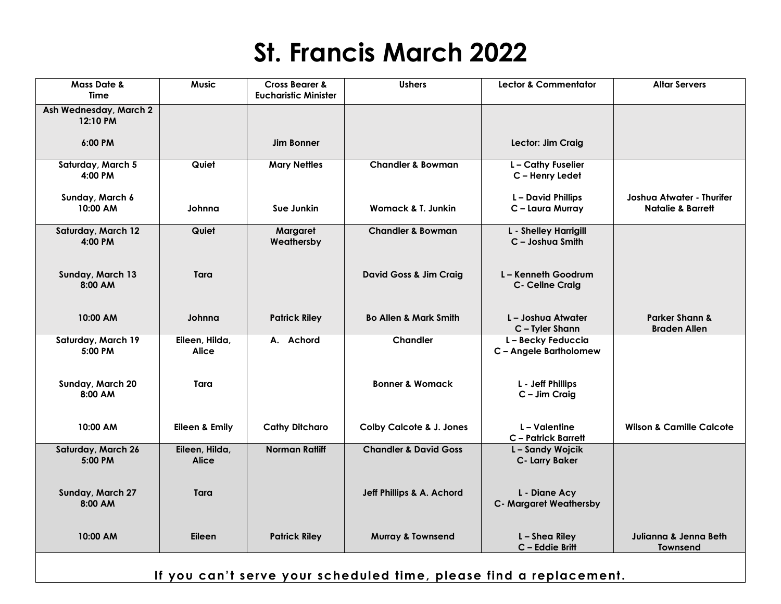## **St. Francis March 2022**

| <b>Mass Date &amp;</b><br><b>Time</b>                              | <b>Music</b>                   | <b>Cross Bearer &amp;</b><br><b>Eucharistic Minister</b> | <b>Ushers</b>                       | <b>Lector &amp; Commentator</b>                | <b>Altar Servers</b>                                      |  |  |  |  |
|--------------------------------------------------------------------|--------------------------------|----------------------------------------------------------|-------------------------------------|------------------------------------------------|-----------------------------------------------------------|--|--|--|--|
| Ash Wednesday, March 2<br>12:10 PM                                 |                                |                                                          |                                     |                                                |                                                           |  |  |  |  |
| 6:00 PM                                                            |                                | <b>Jim Bonner</b>                                        |                                     | Lector: Jim Craig                              |                                                           |  |  |  |  |
| Saturday, March 5<br>4:00 PM                                       | Quiet                          | <b>Mary Nettles</b>                                      | <b>Chandler &amp; Bowman</b>        | L - Cathy Fuselier<br>C - Henry Ledet          |                                                           |  |  |  |  |
| Sunday, March 6<br>10:00 AM                                        | Johnna                         | Sue Junkin                                               | <b>Womack &amp; T. Junkin</b>       | L - David Phillips<br>C - Laura Murray         | Joshua Atwater - Thurifer<br><b>Natalie &amp; Barrett</b> |  |  |  |  |
| Saturday, March 12<br>4:00 PM                                      | Quiet                          | Margaret<br>Weathersby                                   | <b>Chandler &amp; Bowman</b>        | L - Shelley Harrigill<br>C - Joshua Smith      |                                                           |  |  |  |  |
| Sunday, March 13<br>8:00 AM                                        | Tara                           |                                                          | David Goss & Jim Craig              | L - Kenneth Goodrum<br>C- Celine Craig         |                                                           |  |  |  |  |
| 10:00 AM                                                           | Johnna                         | <b>Patrick Riley</b>                                     | <b>Bo Allen &amp; Mark Smith</b>    | L – Joshua Atwater<br>C - Tyler Shann          | <b>Parker Shann &amp;</b><br><b>Braden Allen</b>          |  |  |  |  |
| Saturday, March 19<br>5:00 PM                                      | Eileen, Hilda,<br><b>Alice</b> | A. Achord                                                | <b>Chandler</b>                     | L - Becky Feduccia<br>C - Angele Bartholomew   |                                                           |  |  |  |  |
| Sunday, March 20<br>8:00 AM                                        | Tara                           |                                                          | <b>Bonner &amp; Womack</b>          | L - Jeff Phillips<br>C - Jim Craig             |                                                           |  |  |  |  |
| 10:00 AM                                                           | Eileen & Emily                 | <b>Cathy Ditcharo</b>                                    | <b>Colby Calcote &amp; J. Jones</b> | L - Valentine<br>C - Patrick Barrett           | <b>Wilson &amp; Camille Calcote</b>                       |  |  |  |  |
| Saturday, March 26<br>5:00 PM                                      | Eileen, Hilda,<br><b>Alice</b> | <b>Norman Ratliff</b>                                    | <b>Chandler &amp; David Goss</b>    | L - Sandy Wojcik<br>C- Larry Baker             |                                                           |  |  |  |  |
| Sunday, March 27<br>8:00 AM                                        | Tara                           |                                                          | Jeff Phillips & A. Achord           | L - Diane Acy<br><b>C- Margaret Weathersby</b> |                                                           |  |  |  |  |
| 10:00 AM                                                           | <b>Eileen</b>                  | <b>Patrick Riley</b>                                     | <b>Murray &amp; Townsend</b>        | L - Shea Riley<br>C - Eddie Britt              | <b>Julianna &amp; Jenna Beth</b><br>Townsend              |  |  |  |  |
| If you can't serve your scheduled time, please find a replacement. |                                |                                                          |                                     |                                                |                                                           |  |  |  |  |